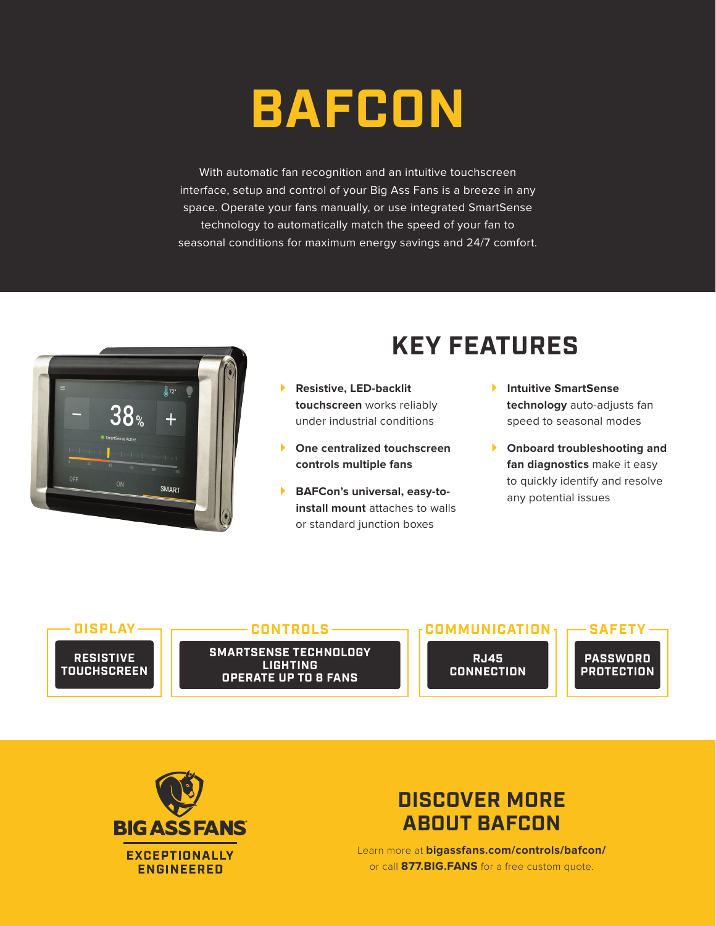## **BAFCON**

With automatic fan recognition and an intuitive touchscreen interface, setup and control of your Big Ass Fans is a breeze in any space. Operate your fans manually, or use integrated SmartSense technology to automatically match the speed of your fan to seasonal conditions for maximum energy savings and 24/7 comfort.



## **KEY FEATURES**

- **Resistive, LED-backlit touchscreen** works reliably under industrial conditions
- **One centralized touchscreen controls multiple fans**
- **BAFCon's universal, easy-toinstall mount** attaches to walls or standard junction boxes
- **Intuitive SmartSense technology** auto-adjusts fan speed to seasonal modes
- **Onboard troubleshooting and fan diagnostics** make it easy to quickly identify and resolve any potential issues



**SMARTSENSE TECHNOLOGY LIGHTING CONTROLS**

**OPERATE UP TO 8 FANS**

**RJ45 CONNECTION**

**COMMUNICATION**





## **DISCOVER MORE ABOUT BAFCON**

Learn more at **bigassfans.com/controls/bafcon/** or call **877.BIG.FANS** for a free custom quote.